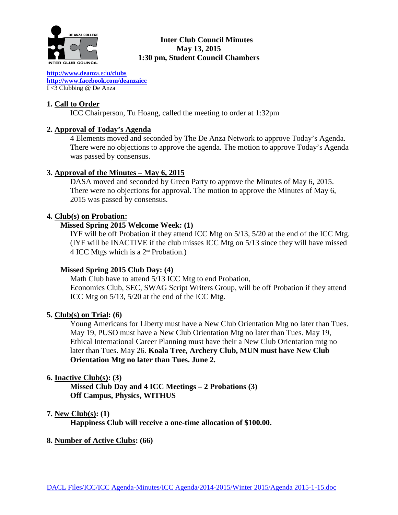

## **Inter Club Council Minutes May 13, 2015 1:30 pm, Student Council Chambers**

**[http://www.deanz](http://www.deanza.edu/clubs)**a.ed**u/clubs [http://www.facebook.com/deanzaicc](http://www.facebook.com/home.php%23!/group.php?gid=59034552686)** I <3 Clubbing @ De Anza

## **1. Call to Order**

ICC Chairperson, Tu Hoang, called the meeting to order at 1:32pm

## **2. Approval of Today's Agenda**

4 Elements moved and seconded by The De Anza Network to approve Today's Agenda. There were no objections to approve the agenda. The motion to approve Today's Agenda was passed by consensus.

## **3. Approval of the Minutes – May 6, 2015**

DASA moved and seconded by Green Party to approve the Minutes of May 6, 2015. There were no objections for approval. The motion to approve the Minutes of May 6, 2015 was passed by consensus.

## **4. Club(s) on Probation:**

## **Missed Spring 2015 Welcome Week: (1)**

IYF will be off Probation if they attend ICC Mtg on 5/13, 5/20 at the end of the ICC Mtg. (IYF will be INACTIVE if the club misses ICC Mtg on 5/13 since they will have missed 4 ICC Mtgs which is a  $2<sup>nd</sup>$  Probation.)

## **Missed Spring 2015 Club Day: (4)**

Math Club have to attend 5/13 ICC Mtg to end Probation, Economics Club, SEC, SWAG Script Writers Group, will be off Probation if they attend ICC Mtg on 5/13, 5/20 at the end of the ICC Mtg.

### **5. Club(s) on Trial: (6)**

Young Americans for Liberty must have a New Club Orientation Mtg no later than Tues. May 19, PUSO must have a New Club Orientation Mtg no later than Tues. May 19, Ethical International Career Planning must have their a New Club Orientation mtg no later than Tues. May 26. **Koala Tree, Archery Club, MUN must have New Club Orientation Mtg no later than Tues. June 2.**

## **6. Inactive Club(s): (3)**

**Missed Club Day and 4 ICC Meetings – 2 Probations (3) Off Campus, Physics, WITHUS**

### **7. New Club(s): (1)**

**Happiness Club will receive a one-time allocation of \$100.00.**

### **8. Number of Active Clubs: (66)**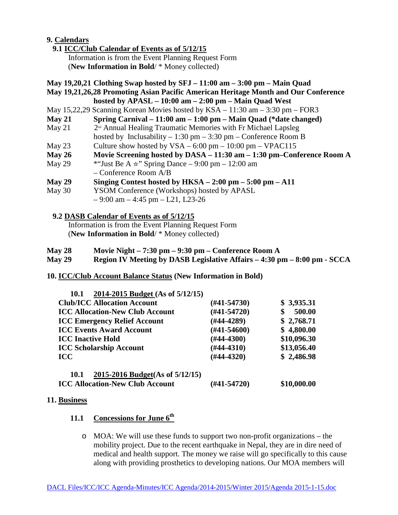## **9. Calendars**

## **9.1 ICC/Club Calendar of Events as of 5/12/15**

 Information is from the Event Planning Request Form (**New Information in Bold**/ \* Money collected)

### **May 19,20,21 Clothing Swap hosted by SFJ – 11:00 am – 3:00 pm – Main Quad**

**May 19,21,26,28 Promoting Asian Pacific American Heritage Month and Our Conference hosted by APASL – 10:00 am – 2:00 pm – Main Quad West**

- May 15,22,29 Scanning Korean Movies hosted by KSA 11:30 am 3:30 pm FOR3
- **May 21 Spring Carnival – 11:00 am – 1:00 pm – Main Quad (\*date changed)**
- May 21  $2<sup>n<sub>d</sub></sup>$  Annual Healing Traumatic Memories with Fr Michael Lapsleg
- hosted by Inclusability 1:30 pm 3:30 pm Conference Room B
- May 23 Culture show hosted by  $VSA 6:00 \text{ pm} 10:00 \text{ pm} \text{VPAC115}$
- **May 26 Movie Screening hosted by DASA – 11:30 am – 1:30 pm–Conference Room A**
- May 29 \* "Just Be A  $\star$ " Spring Dance 9:00 pm 12:00 am – Conference Room A/B
- **May 29 Singing Contest hosted by HKSA – 2:00 pm – 5:00 pm – A11**
- May 30 YSOM Conference (Workshops) hosted by APASL
	- $-9:00$  am  $-4:45$  pm  $-121$ , L23-26

### **9.2 DASB Calendar of Events as of 5/12/15**

Information is from the Event Planning Request Form (**New Information in Bold**/ \* Money collected)

- **May 28 Movie Night – 7:30 pm – 9:30 pm – Conference Room A**
- **May 29 Region IV Meeting by DASB Legislative Affairs – 4:30 pm – 8:00 pm - SCCA**

## **10. ICC/Club Account Balance Status (New Information in Bold)**

| 2014-2015 Budget (As of 5/12/15)<br><b>10.1</b> |                  |             |
|-------------------------------------------------|------------------|-------------|
| <b>Club/ICC Allocation Account</b>              | (#41-54730)      | \$3,935.31  |
| <b>ICC Allocation-New Club Account</b>          | $(#41-54720)$    | 500.00      |
| <b>ICC Emergency Relief Account</b>             | $(\#44-4289)$    | \$2,768.71  |
| <b>ICC Events Award Account</b>                 | $(\#41 - 54600)$ | \$4,800.00  |
| <b>ICC Inactive Hold</b>                        | $(\#44-4300)$    | \$10,096.30 |
| <b>ICC Scholarship Account</b>                  | $(\#44-4310)$    | \$13,056.40 |
| <b>ICC</b>                                      | $(H44-4320)$     | \$2,486.98  |
| 2015-2016 Budget(As of 5/12/15)<br><b>10.1</b>  |                  |             |
| <b>ICC Allocation-New Club Account</b>          | (#41-54720)      | \$10,000.00 |

### **11. Business**

- **11.1 Concessions for June 6th**
	- $\circ$  MOA: We will use these funds to support two non-profit organizations the mobility project. Due to the recent earthquake in Nepal, they are in dire need of medical and health support. The money we raise will go specifically to this cause along with providing prosthetics to developing nations. Our MOA members will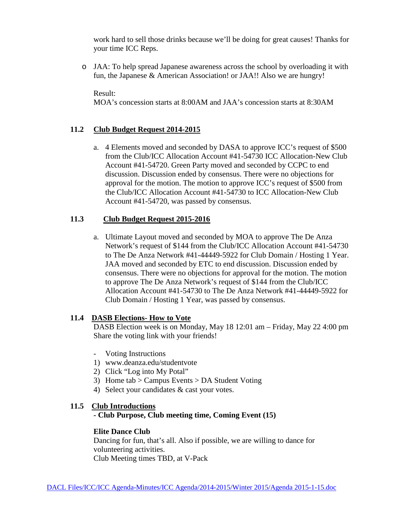work hard to sell those drinks because we'll be doing for great causes! Thanks for your time ICC Reps.

o JAA: To help spread Japanese awareness across the school by overloading it with fun, the Japanese & American Association! or JAA!! Also we are hungry!

Result:

MOA's concession starts at 8:00AM and JAA's concession starts at 8:30AM

## **11.2 Club Budget Request 2014-2015**

a. 4 Elements moved and seconded by DASA to approve ICC's request of \$500 from the Club/ICC Allocation Account #41-54730 ICC Allocation-New Club Account #41-54720. Green Party moved and seconded by CCPC to end discussion. Discussion ended by consensus. There were no objections for approval for the motion. The motion to approve ICC's request of \$500 from the Club/ICC Allocation Account #41-54730 to ICC Allocation-New Club Account #41-54720, was passed by consensus.

## **11.3 Club Budget Request 2015-2016**

a. Ultimate Layout moved and seconded by MOA to approve The De Anza Network's request of \$144 from the Club/ICC Allocation Account #41-54730 to The De Anza Network #41-44449-5922 for Club Domain / Hosting 1 Year. JAA moved and seconded by ETC to end discussion. Discussion ended by consensus. There were no objections for approval for the motion. The motion to approve The De Anza Network's request of \$144 from the Club/ICC Allocation Account #41-54730 to The De Anza Network #41-44449-5922 for Club Domain / Hosting 1 Year, was passed by consensus.

### **11.4 DASB Elections- How to Vote**

DASB Election week is on Monday, May 18 12:01 am – Friday, May 22 4:00 pm Share the voting link with your friends!

- Voting Instructions
- 1) www.deanza.edu/studentvote
- 2) Click "Log into My Potal"
- 3) Home tab > Campus Events > DA Student Voting
- 4) Select your candidates & cast your votes.

## **11.5 Club Introductions**

**- Club Purpose, Club meeting time, Coming Event (15)**

### **Elite Dance Club**

Dancing for fun, that's all. Also if possible, we are willing to dance for volunteering activities. Club Meeting times TBD, at V-Pack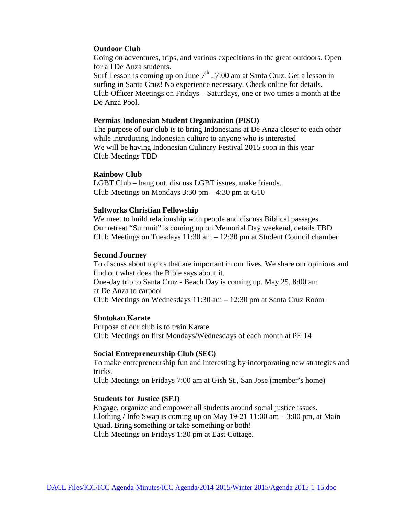#### **Outdoor Club**

Going on adventures, trips, and various expeditions in the great outdoors. Open for all De Anza students.

Surf Lesson is coming up on June  $7<sup>th</sup>$ , 7:00 am at Santa Cruz. Get a lesson in surfing in Santa Cruz! No experience necessary. Check online for details. Club Officer Meetings on Fridays – Saturdays, one or two times a month at the De Anza Pool.

#### **Permias Indonesian Student Organization (PISO)**

The purpose of our club is to bring Indonesians at De Anza closer to each other while introducing Indonesian culture to anyone who is interested We will be having Indonesian Culinary Festival 2015 soon in this year Club Meetings TBD

#### **Rainbow Club**

LGBT Club – hang out, discuss LGBT issues, make friends. Club Meetings on Mondays 3:30 pm – 4:30 pm at G10

#### **Saltworks Christian Fellowship**

We meet to build relationship with people and discuss Biblical passages. Our retreat "Summit" is coming up on Memorial Day weekend, details TBD Club Meetings on Tuesdays  $11:30 \text{ am} - 12:30 \text{ pm}$  at Student Council chamber

#### **Second Journey**

To discuss about topics that are important in our lives. We share our opinions and find out what does the Bible says about it. One-day trip to Santa Cruz - Beach Day is coming up. May 25, 8:00 am at De Anza to carpool Club Meetings on Wednesdays 11:30 am – 12:30 pm at Santa Cruz Room

#### **Shotokan Karate**

Purpose of our club is to train Karate. Club Meetings on first Mondays/Wednesdays of each month at PE 14

#### **Social Entrepreneurship Club (SEC)**

To make entrepreneurship fun and interesting by incorporating new strategies and tricks.

Club Meetings on Fridays 7:00 am at Gish St., San Jose (member's home)

#### **Students for Justice (SFJ)**

Engage, organize and empower all students around social justice issues. Clothing / Info Swap is coming up on May  $19-21$  11:00 am  $-3:00$  pm, at Main Quad. Bring something or take something or both! Club Meetings on Fridays 1:30 pm at East Cottage.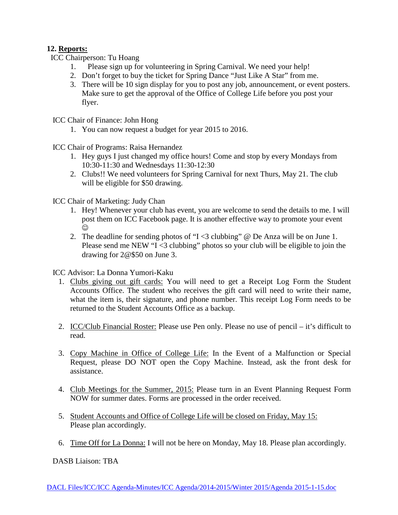## **12. Reports:**

ICC Chairperson: Tu Hoang

- 1. Please sign up for volunteering in Spring Carnival. We need your help!
- 2. Don't forget to buy the ticket for Spring Dance "Just Like A Star" from me.
- 3. There will be 10 sign display for you to post any job, announcement, or event posters. Make sure to get the approval of the Office of College Life before you post your flyer.

ICC Chair of Finance: John Hong

1. You can now request a budget for year 2015 to 2016.

ICC Chair of Programs: Raisa Hernandez

- 1. Hey guys I just changed my office hours! Come and stop by every Mondays from 10:30-11:30 and Wednesdays 11:30-12:30
- 2. Clubs!! We need volunteers for Spring Carnival for next Thurs, May 21. The club will be eligible for \$50 drawing.

ICC Chair of Marketing: Judy Chan

- 1. Hey! Whenever your club has event, you are welcome to send the details to me. I will post them on ICC Facebook page. It is another effective way to promote your event  $\odot$
- 2. The deadline for sending photos of "I <3 clubbing" @ De Anza will be on June 1. Please send me NEW "I <3 clubbing" photos so your club will be eligible to join the drawing for 2@\$50 on June 3.

ICC Advisor: La Donna Yumori-Kaku

- 1. Clubs giving out gift cards: You will need to get a Receipt Log Form the Student Accounts Office. The student who receives the gift card will need to write their name, what the item is, their signature, and phone number. This receipt Log Form needs to be returned to the Student Accounts Office as a backup.
- 2. ICC/Club Financial Roster: Please use Pen only. Please no use of pencil it's difficult to read.
- 3. Copy Machine in Office of College Life: In the Event of a Malfunction or Special Request, please DO NOT open the Copy Machine. Instead, ask the front desk for assistance.
- 4. Club Meetings for the Summer, 2015: Please turn in an Event Planning Request Form NOW for summer dates. Forms are processed in the order received.
- 5. Student Accounts and Office of College Life will be closed on Friday, May 15: Please plan accordingly.
- 6. Time Off for La Donna: I will not be here on Monday, May 18. Please plan accordingly.

DASB Liaison: TBA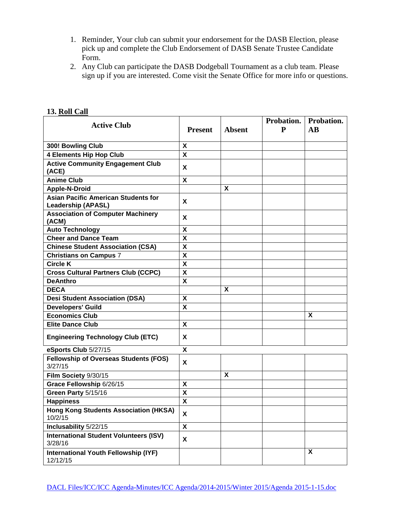- 1. Reminder, Your club can submit your endorsement for the DASB Election, please pick up and complete the Club Endorsement of DASB Senate Trustee Candidate Form.
- 2. Any Club can participate the DASB Dodgeball Tournament as a club team. Please sign up if you are interested. Come visit the Senate Office for more info or questions.

| <b>Active Club</b>                                                      | <b>Present</b>            | <b>Absent</b> | Probation.<br>P | Probation.<br>$\mathbf{A}\mathbf{B}$ |
|-------------------------------------------------------------------------|---------------------------|---------------|-----------------|--------------------------------------|
| 300! Bowling Club                                                       | X                         |               |                 |                                      |
| <b>4 Elements Hip Hop Club</b>                                          | $\overline{\mathbf{x}}$   |               |                 |                                      |
| <b>Active Community Engagement Club</b><br>(ACE)                        | X                         |               |                 |                                      |
| <b>Anime Club</b>                                                       | $\boldsymbol{\mathsf{X}}$ |               |                 |                                      |
| <b>Apple-N-Droid</b>                                                    |                           | X             |                 |                                      |
| <b>Asian Pacific American Students for</b><br><b>Leadership (APASL)</b> | X                         |               |                 |                                      |
| <b>Association of Computer Machinery</b><br>(ACM)                       | X                         |               |                 |                                      |
| <b>Auto Technology</b>                                                  | X                         |               |                 |                                      |
| <b>Cheer and Dance Team</b>                                             | X                         |               |                 |                                      |
| <b>Chinese Student Association (CSA)</b>                                | $\boldsymbol{\mathsf{X}}$ |               |                 |                                      |
| <b>Christians on Campus 7</b>                                           | $\boldsymbol{\mathsf{X}}$ |               |                 |                                      |
| <b>Circle K</b>                                                         | $\boldsymbol{\mathsf{X}}$ |               |                 |                                      |
| <b>Cross Cultural Partners Club (CCPC)</b>                              | $\boldsymbol{\mathsf{X}}$ |               |                 |                                      |
| <b>DeAnthro</b>                                                         | X                         |               |                 |                                      |
| <b>DECA</b>                                                             |                           | X             |                 |                                      |
| <b>Desi Student Association (DSA)</b>                                   | $\boldsymbol{\mathsf{X}}$ |               |                 |                                      |
| <b>Developers' Guild</b>                                                | $\boldsymbol{\mathsf{X}}$ |               |                 |                                      |
| <b>Economics Club</b>                                                   |                           |               |                 | X                                    |
| <b>Elite Dance Club</b>                                                 | X                         |               |                 |                                      |
| <b>Engineering Technology Club (ETC)</b>                                | X                         |               |                 |                                      |
| eSports Club 5/27/15                                                    | X                         |               |                 |                                      |
| <b>Fellowship of Overseas Students (FOS)</b><br>3/27/15                 | X                         |               |                 |                                      |
| Film Society 9/30/15                                                    |                           | X             |                 |                                      |
| Grace Fellowship 6/26/15                                                | $\boldsymbol{\mathsf{X}}$ |               |                 |                                      |
| Green Party 5/15/16                                                     | $\overline{\mathsf{X}}$   |               |                 |                                      |
| <b>Happiness</b>                                                        | $\boldsymbol{\mathsf{X}}$ |               |                 |                                      |
| <b>Hong Kong Students Association (HKSA)</b><br>10/2/15                 | X                         |               |                 |                                      |
| Inclusability 5/22/15                                                   | $\boldsymbol{\mathsf{X}}$ |               |                 |                                      |
| <b>International Student Volunteers (ISV)</b><br>3/28/16                | X                         |               |                 |                                      |
| <b>International Youth Fellowship (IYF)</b><br>12/12/15                 |                           |               |                 | $\boldsymbol{\mathsf{X}}$            |

## **13. Roll Call**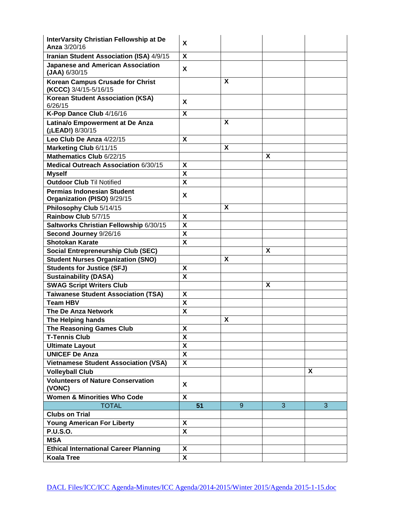| InterVarsity Christian Fellowship at De<br>Anza 3/20/16          | X                         |   |   |   |
|------------------------------------------------------------------|---------------------------|---|---|---|
| Iranian Student Association (ISA) 4/9/15                         | $\boldsymbol{\mathsf{X}}$ |   |   |   |
| <b>Japanese and American Association</b><br>$(JAA)$ 6/30/15      | X                         |   |   |   |
| <b>Korean Campus Crusade for Christ</b><br>(KCCC) 3/4/15-5/16/15 |                           | X |   |   |
| <b>Korean Student Association (KSA)</b><br>6/26/15               | X                         |   |   |   |
| K-Pop Dance Club 4/16/16                                         | X                         |   |   |   |
| Latina/o Empowerment at De Anza<br>(¡LEAD!) 8/30/15              |                           | X |   |   |
| Leo Club De Anza 4/22/15                                         | $\boldsymbol{\mathsf{X}}$ |   |   |   |
| Marketing Club 6/11/15                                           |                           | X |   |   |
| Mathematics Club 6/22/15                                         |                           |   | X |   |
| Medical Outreach Association 6/30/15                             | X                         |   |   |   |
| <b>Myself</b>                                                    | $\boldsymbol{\mathsf{X}}$ |   |   |   |
| <b>Outdoor Club Til Notified</b>                                 | $\boldsymbol{\mathsf{x}}$ |   |   |   |
| <b>Permias Indonesian Student</b><br>Organization (PISO) 9/29/15 | X                         |   |   |   |
| Philosophy Club 5/14/15                                          |                           | X |   |   |
| Rainbow Club 5/7/15                                              | X                         |   |   |   |
| Saltworks Christian Fellowship 6/30/15                           | $\overline{\mathbf{x}}$   |   |   |   |
| Second Journey 9/26/16                                           | $\boldsymbol{\mathsf{x}}$ |   |   |   |
| <b>Shotokan Karate</b>                                           | X                         |   |   |   |
| <b>Social Entrepreneurship Club (SEC)</b>                        |                           |   | X |   |
| <b>Student Nurses Organization (SNO)</b>                         |                           | X |   |   |
| <b>Students for Justice (SFJ)</b>                                | X                         |   |   |   |
| <b>Sustainability (DASA)</b>                                     | X                         |   |   |   |
| <b>SWAG Script Writers Club</b>                                  |                           |   | X |   |
| <b>Taiwanese Student Association (TSA)</b>                       | X                         |   |   |   |
| <b>Team HBV</b>                                                  | $\pmb{\mathsf{X}}$        |   |   |   |
| <b>The De Anza Network</b>                                       | $\mathsf{x}$              |   |   |   |
| The Helping hands                                                |                           | X |   |   |
| The Reasoning Games Club                                         | X                         |   |   |   |
| <b>T-Tennis Club</b>                                             | X                         |   |   |   |
| <b>Ultimate Layout</b>                                           | $\boldsymbol{\mathsf{X}}$ |   |   |   |
| <b>UNICEF De Anza</b>                                            | $\boldsymbol{\mathsf{X}}$ |   |   |   |
| <b>Vietnamese Student Association (VSA)</b>                      | $\boldsymbol{\mathsf{X}}$ |   |   |   |
| <b>Volleyball Club</b>                                           |                           |   |   | X |
| <b>Volunteers of Nature Conservation</b><br>(VONC)               | X                         |   |   |   |
| <b>Women &amp; Minorities Who Code</b>                           | $\boldsymbol{\mathsf{X}}$ |   |   |   |
| <b>TOTAL</b>                                                     | 51                        | 9 | 3 | 3 |
| <b>Clubs on Trial</b>                                            |                           |   |   |   |
| <b>Young American For Liberty</b>                                | X                         |   |   |   |
| <b>P.U.S.O.</b>                                                  | $\boldsymbol{\mathsf{X}}$ |   |   |   |
| <b>MSA</b>                                                       |                           |   |   |   |
| <b>Ethical International Career Planning</b>                     | X                         |   |   |   |
| <b>Koala Tree</b>                                                | $\overline{\mathbf{x}}$   |   |   |   |